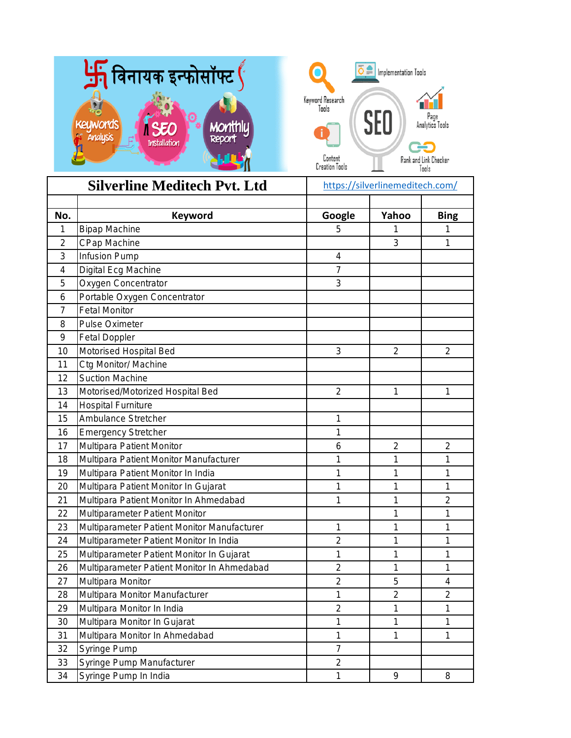

| <b>Silverline Meditech Pvt. Ltd</b> |                                                      |                | https://silverlinemeditech.com/ |                         |  |
|-------------------------------------|------------------------------------------------------|----------------|---------------------------------|-------------------------|--|
| No.                                 | <b>Keyword</b>                                       | Google         | Yahoo                           | <b>Bing</b>             |  |
| 1                                   | <b>Bipap Machine</b>                                 | 5              | 1                               | 1                       |  |
| $\overline{2}$                      | <b>CPap Machine</b>                                  |                | 3                               | 1                       |  |
| 3                                   | Infusion Pump                                        | 4              |                                 |                         |  |
| 4                                   | Digital Ecg Machine                                  | $\overline{7}$ |                                 |                         |  |
| 5                                   | Oxygen Concentrator                                  | 3              |                                 |                         |  |
|                                     |                                                      |                |                                 |                         |  |
| 6<br>$\overline{7}$                 | Portable Oxygen Concentrator<br><b>Fetal Monitor</b> |                |                                 |                         |  |
|                                     |                                                      |                |                                 |                         |  |
| 8                                   | <b>Pulse Oximeter</b>                                |                |                                 |                         |  |
| 9                                   | <b>Fetal Doppler</b>                                 |                |                                 |                         |  |
| 10                                  | Motorised Hospital Bed                               | 3              | $\overline{2}$                  | $\overline{2}$          |  |
| 11                                  | Ctg Monitor/ Machine                                 |                |                                 |                         |  |
| 12                                  | <b>Suction Machine</b>                               |                |                                 |                         |  |
| 13                                  | Motorised/Motorized Hospital Bed                     | $\overline{2}$ | 1                               | 1                       |  |
| 14                                  | <b>Hospital Furniture</b>                            |                |                                 |                         |  |
| 15                                  | <b>Ambulance Stretcher</b>                           | 1              |                                 |                         |  |
| 16                                  | <b>Emergency Stretcher</b>                           | 1              |                                 |                         |  |
| 17                                  | Multipara Patient Monitor                            | 6              | $\overline{c}$                  | $\overline{c}$          |  |
| 18                                  | Multipara Patient Monitor Manufacturer               | 1              | 1                               | 1                       |  |
| 19                                  | Multipara Patient Monitor In India                   | 1              | 1                               | 1                       |  |
| 20                                  | Multipara Patient Monitor In Gujarat                 | 1              | 1                               | 1                       |  |
| 21                                  | Multipara Patient Monitor In Ahmedabad               | 1              | 1                               | $\overline{2}$          |  |
| 22                                  | Multiparameter Patient Monitor                       |                | 1                               | 1                       |  |
| 23                                  | Multiparameter Patient Monitor Manufacturer          | 1              | 1                               | 1                       |  |
| 24                                  | Multiparameter Patient Monitor In India              | $\overline{2}$ | 1                               | 1                       |  |
| 25                                  | Multiparameter Patient Monitor In Gujarat            | 1              | 1                               | 1                       |  |
| 26                                  | Multiparameter Patient Monitor In Ahmedabad          | $\overline{c}$ | 1                               | 1                       |  |
| 27                                  | Multipara Monitor                                    | $\overline{c}$ | 5                               | 4                       |  |
| 28                                  | Multipara Monitor Manufacturer                       | 1              | $\overline{c}$                  | $\overline{\mathbf{c}}$ |  |
| 29                                  | Multipara Monitor In India                           | $\overline{c}$ | 1                               | 1                       |  |
| 30                                  | Multipara Monitor In Gujarat                         | 1              | 1                               | 1                       |  |
| 31                                  | Multipara Monitor In Ahmedabad                       | 1              | $\overline{1}$                  | 1                       |  |
| 32                                  | Syringe Pump                                         | $\overline{7}$ |                                 |                         |  |
| 33                                  | Syringe Pump Manufacturer                            | $\overline{2}$ |                                 |                         |  |
| 34                                  | Syringe Pump In India                                | 1              | 9                               | 8                       |  |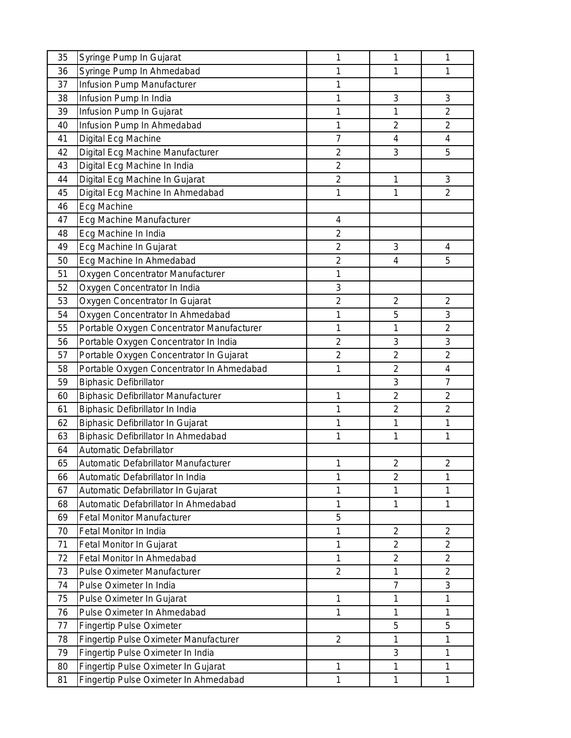| 35 | Syringe Pump In Gujarat                    | 1              | 1                       | 1                       |
|----|--------------------------------------------|----------------|-------------------------|-------------------------|
| 36 | Syringe Pump In Ahmedabad                  | 1              | 1                       | 1                       |
| 37 | Infusion Pump Manufacturer                 | 1              |                         |                         |
| 38 | Infusion Pump In India                     | 1              | 3                       | 3                       |
| 39 | Infusion Pump In Gujarat                   | 1              | $\mathbf{1}$            | $\overline{c}$          |
| 40 | Infusion Pump In Ahmedabad                 | 1              | $\overline{2}$          | $\overline{2}$          |
| 41 | Digital Ecg Machine                        | $\overline{7}$ | 4                       | 4                       |
| 42 | Digital Ecg Machine Manufacturer           | $\overline{c}$ | 3                       | 5                       |
| 43 | Digital Ecg Machine In India               | $\overline{c}$ |                         |                         |
| 44 | Digital Ecg Machine In Gujarat             | $\overline{c}$ | $\mathbf{1}$            | 3                       |
| 45 | Digital Ecg Machine In Ahmedabad           | 1              | 1                       | 2                       |
| 46 | Ecg Machine                                |                |                         |                         |
| 47 | Ecg Machine Manufacturer                   | 4              |                         |                         |
| 48 | Ecg Machine In India                       | $\overline{2}$ |                         |                         |
| 49 | Ecg Machine In Gujarat                     | $\overline{c}$ | 3                       | 4                       |
| 50 | Ecg Machine In Ahmedabad                   | $\overline{2}$ | $\overline{\mathbf{4}}$ | 5                       |
| 51 | Oxygen Concentrator Manufacturer           | $\mathbf 1$    |                         |                         |
| 52 | Oxygen Concentrator In India               | 3              |                         |                         |
| 53 | Oxygen Concentrator In Gujarat             | $\overline{c}$ | $\overline{2}$          | $\overline{2}$          |
| 54 | Oxygen Concentrator In Ahmedabad           | 1              | 5                       | 3                       |
| 55 | Portable Oxygen Concentrator Manufacturer  | 1              | $\mathbf{1}$            | $\overline{2}$          |
| 56 | Portable Oxygen Concentrator In India      | $\overline{c}$ | 3                       | 3                       |
| 57 | Portable Oxygen Concentrator In Gujarat    | $\overline{c}$ | $\overline{2}$          | $\overline{2}$          |
| 58 | Portable Oxygen Concentrator In Ahmedabad  | $\mathbf 1$    | $\overline{2}$          | $\overline{\mathbf{4}}$ |
| 59 | <b>Biphasic Defibrillator</b>              |                | 3                       | $\overline{7}$          |
| 60 | <b>Biphasic Defibrillator Manufacturer</b> | 1              | $\overline{2}$          | $\overline{c}$          |
| 61 | Biphasic Defibrillator In India            | 1              | $\overline{2}$          | $\overline{2}$          |
| 62 | Biphasic Defibrillator In Gujarat          | 1              | $\mathbf{1}$            | 1                       |
| 63 | Biphasic Defibrillator In Ahmedabad        | 1              | $\mathbf{1}$            | 1                       |
| 64 | Automatic Defabrillator                    |                |                         |                         |
| 65 | Automatic Defabrillator Manufacturer       | 1              | $\overline{2}$          | $\overline{2}$          |
| 66 | Automatic Defabrillator In India           | 1              | $\overline{2}$          | 1                       |
| 67 | Automatic Defabrillator In Gujarat         | 1              | 1                       | 1                       |
| 68 | Automatic Defabrillator In Ahmedabad       | 1              | $\mathbf{1}$            | 1                       |
| 69 | <b>Fetal Monitor Manufacturer</b>          | 5              |                         |                         |
| 70 | Fetal Monitor In India                     | 1              | $\overline{2}$          | $\overline{2}$          |
| 71 | Fetal Monitor In Gujarat                   | 1              | $\overline{2}$          | $\overline{2}$          |
| 72 | Fetal Monitor In Ahmedabad                 | $\mathbf 1$    | $\overline{2}$          | $\overline{2}$          |
| 73 | <b>Pulse Oximeter Manufacturer</b>         | $\overline{2}$ | $\mathbf{1}$            | $\overline{2}$          |
| 74 | Pulse Oximeter In India                    |                | $\overline{7}$          | 3                       |
| 75 | Pulse Oximeter In Gujarat                  | 1              | $\mathbf 1$             | 1                       |
| 76 | Pulse Oximeter In Ahmedabad                | 1              | 1                       | 1                       |
| 77 | <b>Fingertip Pulse Oximeter</b>            |                | 5                       | 5                       |
| 78 | Fingertip Pulse Oximeter Manufacturer      | $\overline{2}$ | $\mathbf{1}$            | 1                       |
| 79 | Fingertip Pulse Oximeter In India          |                | 3                       | 1                       |
| 80 | Fingertip Pulse Oximeter In Gujarat        | 1              | 1                       | 1                       |
| 81 | Fingertip Pulse Oximeter In Ahmedabad      | 1              | $\mathbf{1}$            | $\mathbf 1$             |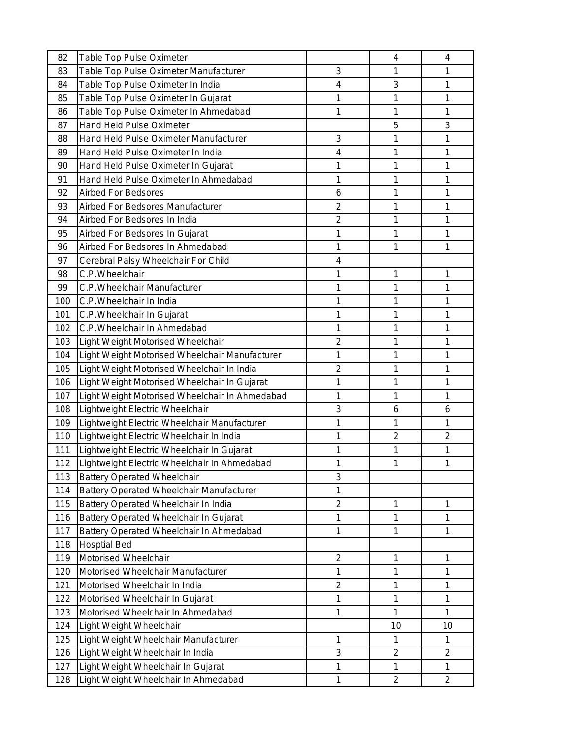| 82  | Table Top Pulse Oximeter                        |                | 4              | 4              |
|-----|-------------------------------------------------|----------------|----------------|----------------|
| 83  | Table Top Pulse Oximeter Manufacturer           | 3              | 1              | 1              |
| 84  | Table Top Pulse Oximeter In India               | 4              | 3              | 1              |
| 85  | Table Top Pulse Oximeter In Gujarat             | 1              | 1              | 1              |
| 86  | Table Top Pulse Oximeter In Ahmedabad           | 1              | 1              | 1              |
| 87  | Hand Held Pulse Oximeter                        |                | 5              | 3              |
| 88  | Hand Held Pulse Oximeter Manufacturer           | 3              | 1              | 1              |
| 89  | Hand Held Pulse Oximeter In India               | 4              | 1              | 1              |
| 90  | Hand Held Pulse Oximeter In Gujarat             | 1              | 1              | 1              |
| 91  | Hand Held Pulse Oximeter In Ahmedabad           | 1              | 1              | 1              |
| 92  | <b>Airbed For Bedsores</b>                      | 6              | 1              | 1              |
| 93  | Airbed For Bedsores Manufacturer                | $\overline{2}$ | 1              | 1              |
| 94  | Airbed For Bedsores In India                    | $\overline{2}$ | 1              | 1              |
| 95  | Airbed For Bedsores In Gujarat                  | 1              | 1              | 1              |
| 96  | Airbed For Bedsores In Ahmedabad                | 1              | 1              | 1              |
| 97  | Cerebral Palsy Wheelchair For Child             | 4              |                |                |
| 98  | C.P.Wheelchair                                  | 1              | 1              | 1              |
| 99  | C.P. Wheelchair Manufacturer                    | 1              | 1              | 1              |
| 100 | C.P. Wheelchair In India                        | 1              | 1              | 1              |
| 101 | C.P. Wheelchair In Gujarat                      | 1              | 1              | 1              |
| 102 | C.P. Wheelchair In Ahmedabad                    | 1              | 1              | 1              |
| 103 | Light Weight Motorised Wheelchair               | $\overline{c}$ | 1              | 1              |
| 104 | Light Weight Motorised Wheelchair Manufacturer  | 1              | 1              | 1              |
| 105 | Light Weight Motorised Wheelchair In India      | $\overline{2}$ | 1              | 1              |
| 106 | Light Weight Motorised Wheelchair In Gujarat    | 1              | 1              | 1              |
| 107 | Light Weight Motorised Wheelchair In Ahmedabad  | 1              | 1              | 1              |
| 108 | Lightweight Electric Wheelchair                 | 3              | 6              | 6              |
| 109 | Lightweight Electric Wheelchair Manufacturer    | 1              | 1              | 1              |
| 110 | Lightweight Electric Wheelchair In India        | 1              | $\overline{2}$ | $\overline{2}$ |
| 111 | Lightweight Electric Wheelchair In Gujarat      | 1              | 1              | 1              |
| 112 | Lightweight Electric Wheelchair In Ahmedabad    | 1              | 1              | 1              |
| 113 | <b>Battery Operated Wheelchair</b>              | 3              |                |                |
| 114 | <b>Battery Operated Wheelchair Manufacturer</b> | 1              |                |                |
| 115 | Battery Operated Wheelchair In India            | $\overline{c}$ | 1              | 1              |
| 116 | Battery Operated Wheelchair In Gujarat          | 1              | 1              | 1              |
| 117 | Battery Operated Wheelchair In Ahmedabad        | 1              | 1              | 1              |
| 118 | <b>Hosptial Bed</b>                             |                |                |                |
| 119 | Motorised Wheelchair                            | $\overline{c}$ | 1              | 1              |
| 120 | Motorised Wheelchair Manufacturer               | $\mathbf{1}$   | 1              | 1              |
| 121 | Motorised Wheelchair In India                   | $\overline{2}$ | 1              | 1              |
| 122 | Motorised Wheelchair In Gujarat                 | 1              | 1              | 1              |
| 123 | Motorised Wheelchair In Ahmedabad               | 1              | 1              | 1              |
| 124 | Light Weight Wheelchair                         |                | 10             | 10             |
| 125 | Light Weight Wheelchair Manufacturer            | 1              | 1              | 1              |
| 126 | Light Weight Wheelchair In India                | 3              | $\overline{2}$ | $\overline{2}$ |
| 127 | Light Weight Wheelchair In Gujarat              | 1              | 1              | 1              |
| 128 | Light Weight Wheelchair In Ahmedabad            | 1              | $\overline{c}$ | $\overline{c}$ |